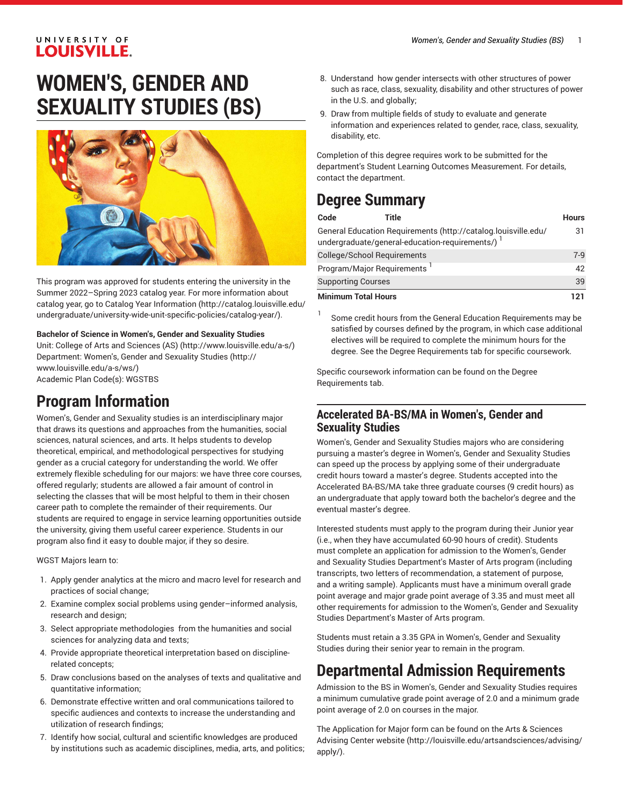### UNIVERSITY OF **LOUISVILLE.**

# **WOMEN'S, GENDER AND SEXUALITY STUDIES (BS)**



This program was approved for students entering the university in the Summer 2022–Spring 2023 catalog year. For more information about catalog year, go to Catalog Year [Information](http://catalog.louisville.edu/undergraduate/university-wide-unit-specific-policies/catalog-year/) ([http://catalog.louisville.edu/](http://catalog.louisville.edu/undergraduate/university-wide-unit-specific-policies/catalog-year/) [undergraduate/university-wide-unit-specific-policies/catalog-year/](http://catalog.louisville.edu/undergraduate/university-wide-unit-specific-policies/catalog-year/)).

#### **Bachelor of Science in Women's, Gender and Sexuality Studies**

Unit: College of Arts and [Sciences](http://www.louisville.edu/a-s/) (AS) (<http://www.louisville.edu/a-s/>) Department: [Women's,](http://www.louisville.edu/a-s/ws/) Gender and Sexuality Studies ([http://](http://www.louisville.edu/a-s/ws/) [www.louisville.edu/a-s/ws/\)](http://www.louisville.edu/a-s/ws/) Academic Plan Code(s): WGSTBS

### **Program Information**

Women's, Gender and Sexuality studies is an interdisciplinary major that draws its questions and approaches from the humanities, social sciences, natural sciences, and arts. It helps students to develop theoretical, empirical, and methodological perspectives for studying gender as a crucial category for understanding the world. We offer extremely flexible scheduling for our majors: we have three core courses, offered regularly; students are allowed a fair amount of control in selecting the classes that will be most helpful to them in their chosen career path to complete the remainder of their requirements. Our students are required to engage in service learning opportunities outside the university, giving them useful career experience. Students in our program also find it easy to double major, if they so desire.

WGST Majors learn to:

- 1. Apply gender analytics at the micro and macro level for research and practices of social change;
- 2. Examine complex social problems using gender–informed analysis, research and design;
- 3. Select appropriate methodologies from the humanities and social sciences for analyzing data and texts;
- 4. Provide appropriate theoretical interpretation based on disciplinerelated concepts;
- 5. Draw conclusions based on the analyses of texts and qualitative and quantitative information;
- 6. Demonstrate effective written and oral communications tailored to specific audiences and contexts to increase the understanding and utilization of research findings;
- 7. Identify how social, cultural and scientific knowledges are produced by institutions such as academic disciplines, media, arts, and politics;
- 8. Understand how gender intersects with other structures of power such as race, class, sexuality, disability and other structures of power in the U.S. and globally;
- 9. Draw from multiple fields of study to evaluate and generate information and experiences related to gender, race, class, sexuality, disability, etc.

Completion of this degree requires work to be submitted for the department's Student Learning Outcomes Measurement. For details, contact the department.

# **Degree Summary**

| Code                               | Title                                                                                                              | <b>Hours</b> |
|------------------------------------|--------------------------------------------------------------------------------------------------------------------|--------------|
|                                    | General Education Requirements (http://catalog.louisville.edu/<br>undergraduate/general-education-requirements/) 1 | 31           |
| <b>College/School Requirements</b> |                                                                                                                    | $7-9$        |
| Program/Major Requirements         |                                                                                                                    | 42           |
| <b>Supporting Courses</b>          |                                                                                                                    | 39           |
| <b>Minimum Total Hours</b>         |                                                                                                                    | 121          |

1 Some credit hours from the General Education Requirements may be satisfied by courses defined by the program, in which case additional electives will be required to complete the minimum hours for the degree. See the Degree Requirements tab for specific coursework.

Specific coursework information can be found on the Degree Requirements tab.

### **Accelerated BA-BS/MA in Women's, Gender and Sexuality Studies**

Women's, Gender and Sexuality Studies majors who are considering pursuing a master's degree in Women's, Gender and Sexuality Studies can speed up the process by applying some of their undergraduate credit hours toward a master's degree. Students accepted into the Accelerated BA-BS/MA take three graduate courses (9 credit hours) as an undergraduate that apply toward both the bachelor's degree and the eventual master's degree.

Interested students must apply to the program during their Junior year (i.e., when they have accumulated 60-90 hours of credit). Students must complete an application for admission to the Women's, Gender and Sexuality Studies Department's Master of Arts program (including transcripts, two letters of recommendation, a statement of purpose, and a writing sample). Applicants must have a minimum overall grade point average and major grade point average of 3.35 and must meet all other requirements for admission to the Women's, Gender and Sexuality Studies Department's Master of Arts program.

Students must retain a 3.35 GPA in Women's, Gender and Sexuality Studies during their senior year to remain in the program.

# **Departmental Admission Requirements**

Admission to the BS in Women's, Gender and Sexuality Studies requires a minimum cumulative grade point average of 2.0 and a minimum grade point average of 2.0 on courses in the major.

The Application for Major form can be found on the Arts & [Sciences](http://louisville.edu/artsandsciences/advising/apply/) [Advising Center website](http://louisville.edu/artsandsciences/advising/apply/) ([http://louisville.edu/artsandsciences/advising/](http://louisville.edu/artsandsciences/advising/apply/) [apply/](http://louisville.edu/artsandsciences/advising/apply/)).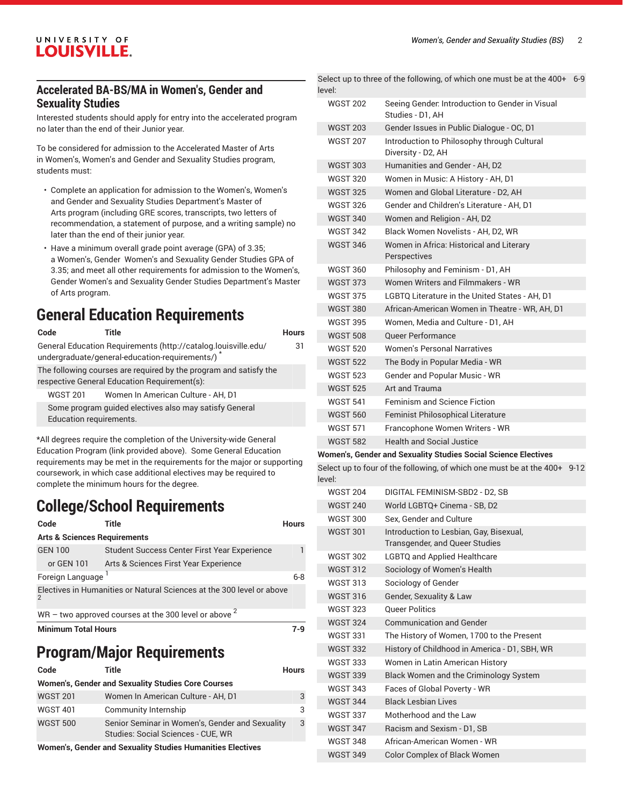#### **Accelerated BA-BS/MA in Women's, Gender and Sexuality Studies**

Interested students should apply for entry into the accelerated program no later than the end of their Junior year.

To be considered for admission to the Accelerated Master of Arts in Women's, Women's and Gender and Sexuality Studies program, students must:

- Complete an application for admission to the Women's, Women's and Gender and Sexuality Studies Department's Master of Arts program (including GRE scores, transcripts, two letters of recommendation, a statement of purpose, and a writing sample) no later than the end of their junior year.
- Have a minimum overall grade point average (GPA) of 3.35; a Women's, Gender Women's and Sexuality Gender Studies GPA of 3.35; and meet all other requirements for admission to the Women's, Gender Women's and Sexuality Gender Studies Department's Master of Arts program.

### **General Education Requirements**

| Code                           | Title                                                                                                             | <b>Hours</b> |
|--------------------------------|-------------------------------------------------------------------------------------------------------------------|--------------|
|                                | General Education Requirements (http://catalog.louisville.edu/<br>undergraduate/general-education-requirements/)  | 31           |
|                                | The following courses are required by the program and satisfy the<br>respective General Education Requirement(s): |              |
| <b>WGST 201</b>                | Women In American Culture - AH, D1                                                                                |              |
| <b>Education requirements.</b> | Some program quided electives also may satisfy General                                                            |              |
|                                | *All degrees require the completion of the University-wide General                                                |              |

Education Program (link provided above). Some General Education requirements may be met in the requirements for the major or supporting coursework, in which case additional electives may be required to complete the minimum hours for the degree.

## **College/School Requirements**

| Code                                    | Title                                                                 | <b>Hours</b> |
|-----------------------------------------|-----------------------------------------------------------------------|--------------|
| <b>Arts &amp; Sciences Requirements</b> |                                                                       |              |
| <b>GEN 100</b>                          | Student Success Center First Year Experience                          |              |
| or GEN 101                              | Arts & Sciences First Year Experience                                 |              |
| Foreign Language                        |                                                                       | $6 - 8$      |
| $\mathcal{P}$                           | Electives in Humanities or Natural Sciences at the 300 level or above |              |
|                                         | WR – two approved courses at the 300 level or above $^2$              |              |
| <b>Minimum Total Hours</b>              |                                                                       | 7-Q          |

## **Program/Major Requirements**

| Code            | Title                                                                                                                                                                                                                                                                                                                                                                                                                        | Hours |
|-----------------|------------------------------------------------------------------------------------------------------------------------------------------------------------------------------------------------------------------------------------------------------------------------------------------------------------------------------------------------------------------------------------------------------------------------------|-------|
|                 | Women's, Gender and Sexuality Studies Core Courses                                                                                                                                                                                                                                                                                                                                                                           |       |
| <b>WGST 201</b> | Women In American Culture - AH, D1                                                                                                                                                                                                                                                                                                                                                                                           | 3     |
| <b>WGST 401</b> | Community Internship                                                                                                                                                                                                                                                                                                                                                                                                         | 3     |
| <b>WGST 500</b> | Senior Seminar in Women's, Gender and Sexuality<br>Studies: Social Sciences - CUE, WR                                                                                                                                                                                                                                                                                                                                        | 3     |
|                 | $\mathbf{u} = \mathbf{u} = \mathbf{u} = \mathbf{u} = \mathbf{u} = \mathbf{u} = \mathbf{u} = \mathbf{u} = \mathbf{u} = \mathbf{u} = \mathbf{u} = \mathbf{u} = \mathbf{u} = \mathbf{u} = \mathbf{u} = \mathbf{u} = \mathbf{u} = \mathbf{u} = \mathbf{u} = \mathbf{u} = \mathbf{u} = \mathbf{u} = \mathbf{u} = \mathbf{u} = \mathbf{u} = \mathbf{u} = \mathbf{u} = \mathbf{u} = \mathbf{u} = \mathbf{u} = \mathbf{u} = \mathbf$ |       |

**Women's, Gender and Sexuality Studies Humanities Electives**

| level:          | Select up to three of the following, of which one must be at the 400+ 6-9 |  |
|-----------------|---------------------------------------------------------------------------|--|
| <b>WGST 202</b> | Seeing Gender. Introduction to Gender in Visual<br>Studies - D1, AH       |  |
| <b>WGST 203</b> | Gender Issues in Public Dialogue - OC, D1                                 |  |
| <b>WGST 207</b> | Introduction to Philosophy through Cultural<br>Diversity - D2, AH         |  |
| <b>WGST 303</b> | Humanities and Gender - AH, D2                                            |  |
| <b>WGST 320</b> | Women in Music: A History - AH, D1                                        |  |
| <b>WGST 325</b> | Women and Global Literature - D2, AH                                      |  |
| <b>WGST 326</b> | Gender and Children's Literature - AH, D1                                 |  |
| <b>WGST 340</b> | Women and Religion - AH, D2                                               |  |
| <b>WGST 342</b> | Black Women Novelists - AH, D2, WR                                        |  |
| <b>WGST 346</b> | Women in Africa: Historical and Literary<br>Perspectives                  |  |
| <b>WGST 360</b> | Philosophy and Feminism - D1, AH                                          |  |
| <b>WGST 373</b> | Women Writers and Filmmakers - WR                                         |  |
| <b>WGST 375</b> | LGBTQ Literature in the United States - AH, D1                            |  |
| <b>WGST 380</b> | African-American Women in Theatre - WR, AH, D1                            |  |
| <b>WGST 395</b> | Women, Media and Culture - D1, AH                                         |  |
| <b>WGST 508</b> | <b>Queer Performance</b>                                                  |  |
| <b>WGST 520</b> | <b>Women's Personal Narratives</b>                                        |  |
| <b>WGST 522</b> | The Body in Popular Media - WR                                            |  |
| <b>WGST 523</b> | Gender and Popular Music - WR                                             |  |
| <b>WGST 525</b> | Art and Trauma                                                            |  |
| <b>WGST 541</b> | <b>Feminism and Science Fiction</b>                                       |  |
| <b>WGST 560</b> | <b>Feminist Philosophical Literature</b>                                  |  |
| <b>WGST 571</b> | Francophone Women Writers - WR                                            |  |
| <b>WGST 582</b> | <b>Health and Social Justice</b>                                          |  |
|                 | Women's Cender and Sexuality Studies Social Science Flectives             |  |

#### **Women's, Gender and Sexuality Studies Social Science Electives**

Select up to four of the following, of which one must be at the 400+ 9-12 level:

| <b>WGST 204</b> | DIGITAL FEMINISM-SBD2 - D2, SB                                            |
|-----------------|---------------------------------------------------------------------------|
| <b>WGST 240</b> | World LGBTQ+ Cinema - SB, D2                                              |
| <b>WGST 300</b> | Sex. Gender and Culture                                                   |
| <b>WGST 301</b> | Introduction to Lesbian, Gay, Bisexual,<br>Transgender, and Queer Studies |
| <b>WGST 302</b> | <b>LGBTQ and Applied Healthcare</b>                                       |
| <b>WGST 312</b> | Sociology of Women's Health                                               |
| <b>WGST 313</b> | Sociology of Gender                                                       |
| <b>WGST 316</b> | Gender, Sexuality & Law                                                   |
| <b>WGST 323</b> | <b>Queer Politics</b>                                                     |
| <b>WGST 324</b> | <b>Communication and Gender</b>                                           |
| <b>WGST 331</b> | The History of Women, 1700 to the Present                                 |
| <b>WGST 332</b> | History of Childhood in America - D1, SBH, WR                             |
| <b>WGST 333</b> | Women in Latin American History                                           |
| <b>WGST 339</b> | Black Women and the Criminology System                                    |
| <b>WGST 343</b> | Faces of Global Poverty - WR                                              |
| <b>WGST 344</b> | <b>Black Lesbian Lives</b>                                                |
| <b>WGST 337</b> | Motherhood and the Law                                                    |
| <b>WGST 347</b> | Racism and Sexism - D1, SB                                                |
| <b>WGST 348</b> | African-American Women - WR                                               |
| <b>WGST 349</b> | <b>Color Complex of Black Women</b>                                       |
|                 |                                                                           |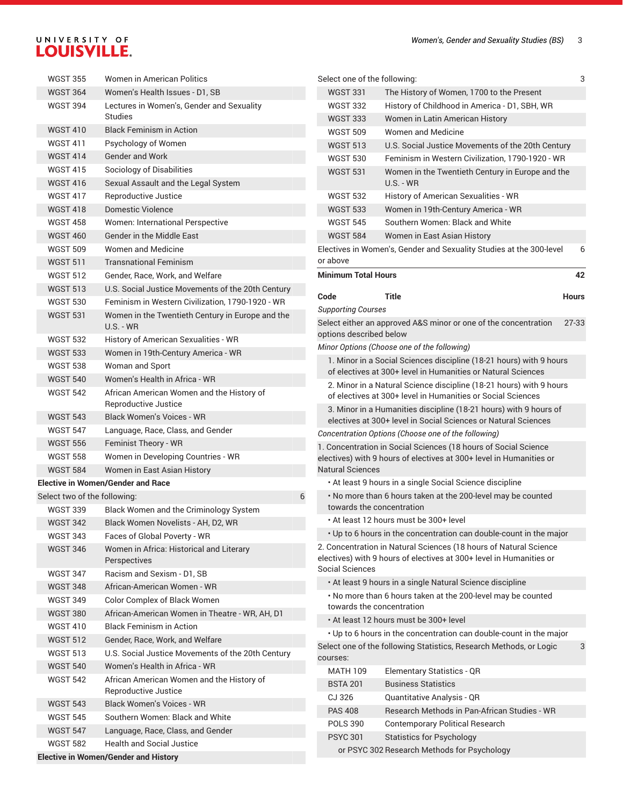# UNIVERSITY OF LOUISVILLE.

| <b>WGST 355</b>              | Women in American Politics                                        | Select one of the following: |                                                                                                                                          | 3            |
|------------------------------|-------------------------------------------------------------------|------------------------------|------------------------------------------------------------------------------------------------------------------------------------------|--------------|
| <b>WGST 364</b>              | Women's Health Issues - D1, SB                                    | <b>WGST 331</b>              | The History of Women, 1700 to the Present                                                                                                |              |
| <b>WGST 394</b>              | Lectures in Women's, Gender and Sexuality                         | <b>WGST 332</b>              | History of Childhood in America - D1, SBH, WR                                                                                            |              |
|                              | <b>Studies</b>                                                    | <b>WGST 333</b>              | Women in Latin American History                                                                                                          |              |
| <b>WGST 410</b>              | <b>Black Feminism in Action</b>                                   | <b>WGST 509</b>              | <b>Women and Medicine</b>                                                                                                                |              |
| <b>WGST 411</b>              | Psychology of Women                                               | <b>WGST 513</b>              | U.S. Social Justice Movements of the 20th Century                                                                                        |              |
| <b>WGST 414</b>              | <b>Gender and Work</b>                                            | <b>WGST 530</b>              | Feminism in Western Civilization, 1790-1920 - WR                                                                                         |              |
| <b>WGST 415</b>              | Sociology of Disabilities                                         | <b>WGST 531</b>              | Women in the Twentieth Century in Europe and the                                                                                         |              |
| <b>WGST 416</b>              | Sexual Assault and the Legal System                               |                              | <b>U.S. - WR</b>                                                                                                                         |              |
| <b>WGST 417</b>              | Reproductive Justice                                              | <b>WGST 532</b>              | History of American Sexualities - WR                                                                                                     |              |
| <b>WGST 418</b>              | Domestic Violence                                                 | <b>WGST 533</b>              | Women in 19th-Century America - WR                                                                                                       |              |
| <b>WGST 458</b>              | Women: International Perspective                                  | <b>WGST 545</b>              | Southern Women: Black and White                                                                                                          |              |
| <b>WGST 460</b>              | Gender in the Middle East                                         | <b>WGST 584</b>              | Women in East Asian History                                                                                                              |              |
| <b>WGST 509</b>              | Women and Medicine                                                |                              | Electives in Women's, Gender and Sexuality Studies at the 300-level                                                                      | 6            |
| <b>WGST 511</b>              | <b>Transnational Feminism</b>                                     | or above                     |                                                                                                                                          |              |
| <b>WGST 512</b>              | Gender, Race, Work, and Welfare                                   | <b>Minimum Total Hours</b>   |                                                                                                                                          | 42           |
| <b>WGST 513</b>              | U.S. Social Justice Movements of the 20th Century                 |                              |                                                                                                                                          |              |
| <b>WGST 530</b>              | Feminism in Western Civilization, 1790-1920 - WR                  | Code                         | <b>Title</b>                                                                                                                             | <b>Hours</b> |
| <b>WGST 531</b>              | Women in the Twentieth Century in Europe and the<br>U.S. - WR     | <b>Supporting Courses</b>    | Select either an approved A&S minor or one of the concentration                                                                          | 27-33        |
| <b>WGST 532</b>              | History of American Sexualities - WR                              | options described below      |                                                                                                                                          |              |
| <b>WGST 533</b>              | Women in 19th-Century America - WR                                |                              | Minor Options (Choose one of the following)                                                                                              |              |
| <b>WGST 538</b>              | Woman and Sport                                                   |                              | 1. Minor in a Social Sciences discipline (18-21 hours) with 9 hours                                                                      |              |
| <b>WGST 540</b>              | Women's Health in Africa - WR                                     |                              | of electives at 300+ level in Humanities or Natural Sciences                                                                             |              |
| <b>WGST 542</b>              | African American Women and the History of<br>Reproductive Justice |                              | 2. Minor in a Natural Science discipline (18-21 hours) with 9 hours<br>of electives at 300+ level in Humanities or Social Sciences       |              |
| <b>WGST 543</b>              | <b>Black Women's Voices - WR</b>                                  |                              | 3. Minor in a Humanities discipline (18-21 hours) with 9 hours of<br>electives at 300+ level in Social Sciences or Natural Sciences      |              |
| <b>WGST 547</b>              | Language, Race, Class, and Gender                                 |                              |                                                                                                                                          |              |
| <b>WGST 556</b>              | Feminist Theory - WR                                              |                              | Concentration Options (Choose one of the following)<br>1. Concentration in Social Sciences (18 hours of Social Science                   |              |
| <b>WGST 558</b>              | Women in Developing Countries - WR                                |                              | electives) with 9 hours of electives at 300+ level in Humanities or                                                                      |              |
| <b>WGST 584</b>              | Women in East Asian History                                       | <b>Natural Sciences</b>      |                                                                                                                                          |              |
|                              | <b>Elective in Women/Gender and Race</b>                          |                              | . At least 9 hours in a single Social Science discipline                                                                                 |              |
| Select two of the following: | 6                                                                 |                              | . No more than 6 hours taken at the 200-level may be counted                                                                             |              |
| <b>WGST 339</b>              | Black Women and the Criminology System                            |                              | towards the concentration                                                                                                                |              |
| <b>WGST 342</b>              | Black Women Novelists - AH, D2, WR                                |                              | . At least 12 hours must be 300+ level                                                                                                   |              |
| <b>WGST 343</b>              | Faces of Global Poverty - WR                                      |                              | . Up to 6 hours in the concentration can double-count in the major                                                                       |              |
| <b>WGST 346</b>              | Women in Africa: Historical and Literary<br>Perspectives          |                              | 2. Concentration in Natural Sciences (18 hours of Natural Science<br>electives) with 9 hours of electives at 300+ level in Humanities or |              |
| <b>WGST 347</b>              | Racism and Sexism - D1, SB                                        | Social Sciences              |                                                                                                                                          |              |
| <b>WGST 348</b>              | African-American Women - WR                                       |                              | . At least 9 hours in a single Natural Science discipline                                                                                |              |
| <b>WGST 349</b>              | Color Complex of Black Women                                      |                              | . No more than 6 hours taken at the 200-level may be counted                                                                             |              |
| <b>WGST 380</b>              | African-American Women in Theatre - WR, AH, D1                    |                              | towards the concentration                                                                                                                |              |
| <b>WGST 410</b>              | <b>Black Feminism in Action</b>                                   |                              | . At least 12 hours must be 300+ level                                                                                                   |              |
| <b>WGST 512</b>              | Gender, Race, Work, and Welfare                                   |                              | . Up to 6 hours in the concentration can double-count in the major                                                                       |              |
| <b>WGST 513</b>              | U.S. Social Justice Movements of the 20th Century                 |                              | Select one of the following Statistics, Research Methods, or Logic                                                                       | 3            |
| <b>WGST 540</b>              | Women's Health in Africa - WR                                     | courses:                     |                                                                                                                                          |              |
| <b>WGST 542</b>              | African American Women and the History of                         | <b>MATH 109</b>              | <b>Elementary Statistics - QR</b>                                                                                                        |              |
|                              | Reproductive Justice                                              | <b>BSTA 201</b>              | <b>Business Statistics</b>                                                                                                               |              |
| <b>WGST 543</b>              | <b>Black Women's Voices - WR</b>                                  | CJ 326                       | Quantitative Analysis - QR                                                                                                               |              |
| <b>WGST 545</b>              | Southern Women: Black and White                                   | <b>PAS 408</b>               | Research Methods in Pan-African Studies - WR                                                                                             |              |
| <b>WGST 547</b>              | Language, Race, Class, and Gender                                 | <b>POLS 390</b>              | <b>Contemporary Political Research</b>                                                                                                   |              |
| <b>WGST 582</b>              | <b>Health and Social Justice</b>                                  | <b>PSYC 301</b>              | <b>Statistics for Psychology</b>                                                                                                         |              |
|                              | <b>Elective in Women/Gender and History</b>                       |                              | or PSYC 302 Research Methods for Psychology                                                                                              |              |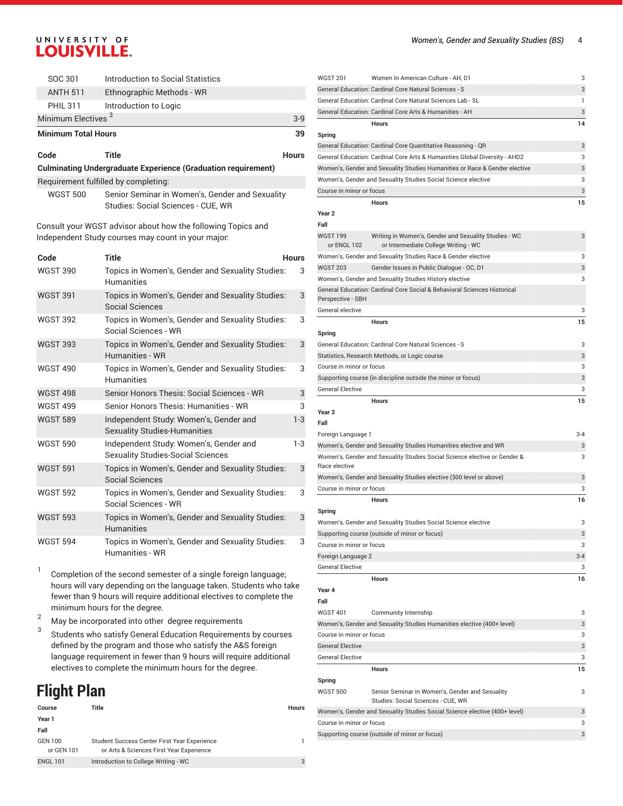# UNIVERSITY OF LOUISVILLE.

| SOC 301                        | Introduction to Social Statistics                                                                                  |              |
|--------------------------------|--------------------------------------------------------------------------------------------------------------------|--------------|
| <b>ANTH 511</b>                | Ethnographic Methods - WR                                                                                          |              |
| <b>PHIL 311</b>                | Introduction to Logic                                                                                              |              |
| Minimum Electives <sup>3</sup> |                                                                                                                    | $3-9$        |
| <b>Minimum Total Hours</b>     |                                                                                                                    | 39           |
| Code                           | Title                                                                                                              | <b>Hours</b> |
|                                | <b>Culminating Undergraduate Experience (Graduation requirement)</b>                                               |              |
|                                | Requirement fulfilled by completing:                                                                               |              |
| <b>WGST 500</b>                | Senior Seminar in Women's, Gender and Sexuality<br>Studies: Social Sciences - CUE, WR                              |              |
|                                | Consult your WGST advisor about how the following Topics and<br>Independent Study courses may count in your major. |              |
| Code                           | <b>Title</b>                                                                                                       | <b>Hours</b> |
| <b>WGST 390</b>                | Topics in Women's, Gender and Sexuality Studies:<br><b>Humanities</b>                                              | 3            |
| <b>WGST 391</b>                | Topics in Women's, Gender and Sexuality Studies:<br><b>Social Sciences</b>                                         | 3            |
| <b>WGST 392</b>                | Topics in Women's, Gender and Sexuality Studies:<br>Social Sciences - WR                                           | 3            |
| <b>WGST 393</b>                | Topics in Women's, Gender and Sexuality Studies:<br>Humanities - WR                                                | 3            |
| <b>WGST 490</b>                | Topics in Women's, Gender and Sexuality Studies:<br><b>Humanities</b>                                              | 3            |
| <b>WGST 498</b>                | Senior Honors Thesis: Social Sciences - WR                                                                         | 3            |
| <b>WGST 499</b>                | Senior Honors Thesis: Humanities - WR                                                                              | 3            |
| <b>WGST 589</b>                | Independent Study: Women's, Gender and<br><b>Sexuality Studies-Humanities</b>                                      | $1-3$        |
| <b>WGST 590</b>                | Independent Study: Women's, Gender and<br><b>Sexuality Studies-Social Sciences</b>                                 | 1-3          |
| <b>WGST 591</b>                | Topics in Women's, Gender and Sexuality Studies:<br><b>Social Sciences</b>                                         | 3            |
| <b>WGST 592</b>                | Topics in Women's, Gender and Sexuality Studies:<br>Social Sciences - WR                                           | 3            |
| <b>WGST 593</b>                | Topics in Women's, Gender and Sexuality Studies:<br>Humanities                                                     | 3            |
| <b>WGST 594</b>                | Topics in Women's, Gender and Sexuality Studies:<br>Humanities - WR                                                | 3            |
| 1                              | Completion of the second semester of a single foreign language:                                                    |              |

Completion of the second semester of a single foreign language; hours will vary depending on the language taken. Students who take fewer than 9 hours will require additional electives to complete the minimum hours for the degree.

2 May be incorporated into other degree requirements

3 Students who satisfy General Education Requirements by courses defined by the program and those who satisfy the A&S foreign language requirement in fewer than 9 hours will require additional electives to complete the minimum hours for the degree.

**Flight Plan**

| Course                       | Title                                                                                    | Hours |
|------------------------------|------------------------------------------------------------------------------------------|-------|
| Year 1                       |                                                                                          |       |
| Fall                         |                                                                                          |       |
| <b>GEN 100</b><br>or GEN 101 | Student Success Center First Year Experience<br>or Arts & Sciences First Year Experience |       |
| <b>ENGL 101</b>              | Introduction to College Writing - WC                                                     | 3     |

| WGST 201                       | Women In American Culture - AH, D1                                                            | 3       |
|--------------------------------|-----------------------------------------------------------------------------------------------|---------|
|                                | General Education: Cardinal Core Natural Sciences - S                                         | 3       |
|                                | General Education: Cardinal Core Natural Sciences Lab - SL                                    | 1       |
|                                | General Education: Cardinal Core Arts & Humanities - AH                                       | 3       |
|                                | <b>Hours</b>                                                                                  | 14      |
| Spring                         |                                                                                               |         |
|                                | General Education: Cardinal Core Quantitative Reasoning - QR                                  | 3       |
|                                | General Education: Cardinal Core Arts & Humanities Global Diversity - AHD2                    | 3       |
|                                | Women's, Gender and Sexuality Studies Humanities or Race & Gender elective                    | 3       |
|                                | Women's, Gender and Sexuality Studies Social Science elective                                 | 3       |
| Course in minor or focus       |                                                                                               | 3       |
|                                | <b>Hours</b>                                                                                  | 15      |
| Year <sub>2</sub>              |                                                                                               |         |
| Fall                           |                                                                                               |         |
| <b>WGST 199</b><br>or ENGL 102 | Writing in Women's, Gender and Sexuality Studies - WC<br>or Intermediate College Writing - WC | 3       |
|                                | Women's, Gender and Sexuality Studies Race & Gender elective                                  | 3       |
| <b>WGST 203</b>                | Gender Issues in Public Dialogue - OC, D1                                                     | 3       |
|                                | Women's, Gender and Sexuality Studies History elective                                        | 3       |
|                                | General Education: Cardinal Core Social & Behavioral Sciences Historical                      |         |
| Perspective - SBH              |                                                                                               |         |
| General elective               |                                                                                               | 3       |
|                                | <b>Hours</b>                                                                                  | 15      |
| Spring                         |                                                                                               |         |
|                                | General Education: Cardinal Core Natural Sciences - S                                         | 3       |
|                                | Statistics, Research Methods, or Logic course                                                 | 3       |
| Course in minor or focus       |                                                                                               | 3       |
|                                | Supporting course (in discipline outside the minor or focus)                                  | 3       |
| General Elective               |                                                                                               | 3       |
|                                | <b>Hours</b>                                                                                  | 15      |
|                                |                                                                                               |         |
| Year 3                         |                                                                                               |         |
| Fall                           |                                                                                               |         |
| Foreign Language 1             |                                                                                               | 3-4     |
|                                | Women's, Gender and Sexuality Studies Humanities elective and WR                              | 3       |
|                                | Women's, Gender and Sexuality Studies Social Science elective or Gender &                     | 3       |
| Race elective                  |                                                                                               |         |
|                                | Women's, Gender and Sexuality Studies elective (300 level or above)                           | 3       |
| Course in minor or focus       |                                                                                               | 3       |
|                                | <b>Hours</b>                                                                                  | 16      |
| Spring                         |                                                                                               |         |
|                                | Women's, Gender and Sexuality Studies Social Science elective                                 | 3       |
|                                | Supporting course (outside of minor or focus)                                                 | 3       |
| Course in minor or focus       |                                                                                               | 3       |
| Foreign Language 2             |                                                                                               | $3 - 4$ |
| <b>General Elective</b>        |                                                                                               | 3       |
|                                | Hours                                                                                         | 16      |
| Year 4                         |                                                                                               |         |
| Fall                           |                                                                                               |         |
| <b>WGST 401</b>                | Community Internship                                                                          | 3       |
|                                | Women's, Gender and Sexuality Studies Humanities elective (400+ level)                        | 3       |
| Course in minor or focus       |                                                                                               | 3       |
| <b>General Elective</b>        |                                                                                               | 3       |
| <b>General Elective</b>        |                                                                                               | 3       |
|                                | Hours                                                                                         | 15      |
| Spring                         |                                                                                               |         |
| <b>WGST 500</b>                | Senior Seminar in Women's, Gender and Sexuality                                               | 3       |
|                                | Studies: Social Sciences - CUE, WR                                                            |         |
|                                | Women's, Gender and Sexuality Studies Social Science elective (400+ level)                    | 3       |
| Course in minor or focus       | Supporting course (outside of minor or focus)                                                 | 3<br>3  |